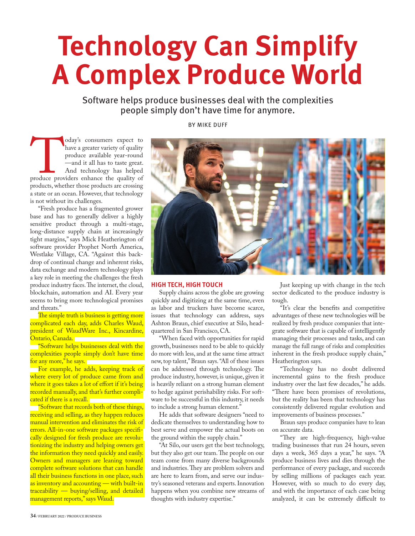# **Technology Can Simplify A Complex Produce World**

Software helps produce businesses deal with the complexities people simply don't have time for anymore.

oday's consumers expect to<br>
have a greater variety of quality<br>
produce available year-round<br>
—and it all has to taste great.<br>
And technology has helped<br>
products whether those products are crossing<br>
products, whether those have a greater variety of quality produce available year-round —and it all has to taste great. And technology has helped produce providers enhance the quality of a state or an ocean. However, that technology is not without its challenges.

"Fresh produce has a fragmented grower base and has to generally deliver a highly sensitive product through a multi-stage, long-distance supply chain at increasingly tight margins," says Mick Heatherington of software provider Prophet North America, Westlake Village, CA. "Against this backdrop of continual change and inherent risks, data exchange and modern technology plays a key role in meeting the challenges the fresh produce industry faces. The internet, the cloud, blockchain, automation and AI. Every year seems to bring more technological promises and threats."

The simple truth is business is getting more complicated each day, adds Charles Waud, president of WaudWare Inc., Kincardine, Ontario, Canada.

**"Software helps businesses deal with the** complexities people simply don't have time for any more," he says.

For example, he adds, keeping track of where every lot of produce came from and where it goes takes a lot of effort if it's being recorded manually, and that's further complicated if there is a recall.

"Software that records both of these things, receiving and selling, as they happen reduces manual intervention and eliminates the risk of errors. All-in-one software packages specifically designed for fresh produce are revolutionizing the industry and helping owners get the information they need quickly and easily. Owners and managers are leaning toward complete software solutions that can handle all their business functions in one place, such as inventory and accounting — with built-in traceability — buying/selling, and detailed management reports," says Waud.

### BY MIKE DUFF



#### **HIGH TECH, HIGH TOUCH**

Supply chains across the globe are growing quickly and digitizing at the same time, even as labor and truckers have become scarce, issues that technology can address, says Ashton Braun, chief executive at Silo, headquartered in San Francisco, CA.

"When faced with opportunities for rapid growth, businesses need to be able to quickly do more with less, and at the same time attract new, top talent," Braun says. "All of these issues can be addressed through technology. The produce industry, however, is unique, given it is heavily reliant on a strong human element to hedge against perishability risks. For software to be successful in this industry, it needs to include a strong human element."

He adds that software designers "need to dedicate themselves to understanding how to best serve and empower the actual boots on the ground within the supply chain."

"At Silo, our users get the best technology, but they also get our team. The people on our team come from many diverse backgrounds and industries. They are problem solvers and are here to learn from, and serve our industry's seasoned veterans and experts. Innovation happens when you combine new streams of thoughts with industry expertise."

Just keeping up with change in the tech sector dedicated to the produce industry is tough.

"It's clear the benefits and competitive advantages of these new technologies will be realized by fresh produce companies that integrate software that is capable of intelligently managing their processes and tasks, and can manage the full range of risks and complexities inherent in the fresh produce supply chain," Heatherington says.

"Technology has no doubt delivered incremental gains to the fresh produce industry over the last few decades," he adds. "There have been promises of revolutions, but the reality has been that technology has consistently delivered regular evolution and improvements of business processes."

Braun says produce companies have to lean on accurate data.

"They are high-frequency, high-value trading businesses that run 24 hours, seven days a week, 365 days a year," he says. "A produce business lives and dies through the performance of every package, and succeeds by selling millions of packages each year. However, with so much to do every day, and with the importance of each case being analyzed, it can be extremely difficult to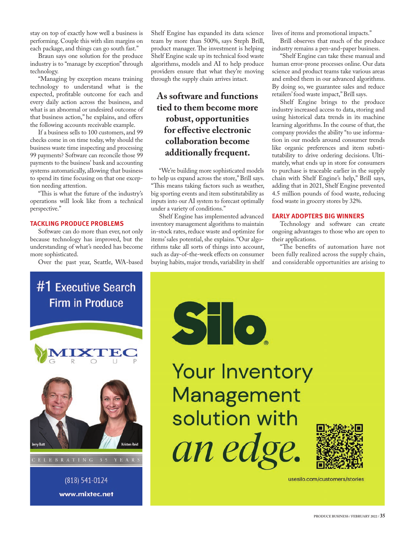stay on top of exactly how well a business is performing. Couple this with slim margins on each package, and things can go south fast."

Braun says one solution for the produce industry is to "manage by exception" through technology.

"Managing by exception means training technology to understand what is the expected, profitable outcome for each and every daily action across the business, and what is an abnormal or undesired outcome of that business action," he explains, and offers the following accounts receivable example.

If a business sells to 100 customers, and 99 checks come in on time today, why should the business waste time inspecting and processing 99 payments? Software can reconcile those 99 payments to the business' bank and accounting systems automatically, allowing that business to spend its time focusing on that one exception needing attention.

"This is what the future of the industry's operations will look like from a technical perspective."

#### **TACKLING PRODUCE PROBLEMS**

Software can do more than ever, not only because technology has improved, but the understanding of what's needed has become more sophisticated.

Over the past year, Seattle, WA-based

Shelf Engine has expanded its data science team by more than 500%, says Steph Brill, product manager. The investment is helping Shelf Engine scale up its technical food waste algorithms, models and AI to help produce providers ensure that what they're moving through the supply chain arrives intact.

## **As software and functions tied to them become more robust, opportunities for effective electronic collaboration become additionally frequent.**

"We're building more sophisticated models to help us expand across the store," Brill says. "This means taking factors such as weather, big sporting events and item substitutability as inputs into our AI system to forecast optimally under a variety of conditions."

Shelf Engine has implemented advanced inventory management algorithms to maintain in-stock rates, reduce waste and optimize for items' sales potential, she explains. "Our algorithms take all sorts of things into account, such as day-of-the-week effects on consumer buying habits, major trends, variability in shelf lives of items and promotional impacts."

Brill observes that much of the produce industry remains a pen-and-paper business.

"Shelf Engine can take these manual and human error-prone processes online. Our data science and product teams take various areas and embed them in our advanced algorithms. By doing so, we guarantee sales and reduce retailers' food waste impact," Brill says.

Shelf Engine brings to the produce industry increased access to data, storing and using historical data trends in its machine learning algorithms. In the course of that, the company provides the ability "to use information in our models around consumer trends like organic preferences and item substitutability to drive ordering decisions. Ultimately, what ends up in store for consumers to purchase is traceable earlier in the supply chain with Shelf Engine's help," Brill says, adding that in 2021, Shelf Engine prevented 4.5 million pounds of food waste, reducing food waste in grocery stores by 32%.

## **EARLY ADOPTERS BIG WINNERS**

Technology and software can create ongoing advantages to those who are open to their applications.

"The benefits of automation have not been fully realized across the supply chain, and considerable opportunities are arising to

## #1 Executive Search **Firm in Produce**



(818) 541-0124 www.mixtec.net



**Your Inventory** Management solution with an edge.



usesilo.com/customers/stories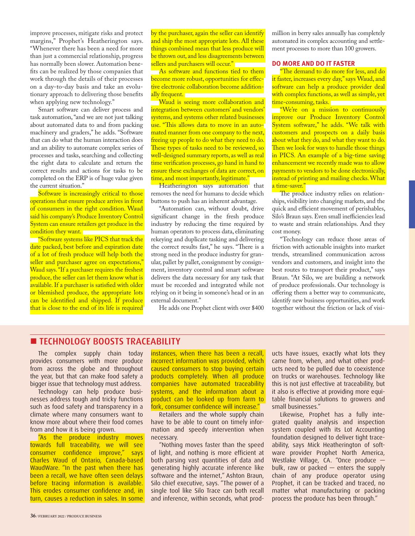improve processes, mitigate risks and protect margins," Prophet's Heatherington says. "Whenever there has been a need for more than just a commercial relationship, progress has normally been slower. Automation bene fits can be realized by those companies that work through the details of their processes on a day-to-day basis and take an evolutionary approach to delivering those benefits when applying new technology."

Smart software can deliver process and task automation, "and we are not just talking about automated data to and from packing machinery and graders," he adds. "Software that can do what the human interaction does and an ability to automate complex series of processes and tasks, searching and collecting the right data to calculate and return the correct results and actions for tasks to be completed on the ERP is of huge value given the current situation."

Software is increasingly critical to those operations that ensure produce arrives in front of consumers in the right condition. Waud said his company's Produce Inventory Control System can ensure retailers get produce in the condition they want.

"Software systems like PICS that track the date packed, best before and expiration date of a lot of fresh produce will help both the seller and purchaser agree on expectations," Waud says. "If a purchaser requires the freshest produce, the seller can let them know what is available. If a purchaser is satisfied with older or blemished produce, the appropriate lots can be identified and shipped. If produce that is close to the end of its life is required

by the purchaser, again the seller can identify and ship the most appropriate lots. All these things combined mean that less produce will be thrown out, and less disagreements between sellers and purchasers will occur."

As software and functions tied to them become more robust, opportunities for effective electronic collaboration become additionally frequent.

Waud is seeing more collaboration and integration between customers' and vendors' systems, and systems other related businesses use. "This allows data to move in an automated manner from one company to the next, freeing up people to do what they need to do. These types of tasks need to be reviewed, so well-designed summary reports, as well as real time verification processes, go hand in hand to ensure these exchanges of data are correct, on time, and most importantly, legitimate."

Heatherington says automation that removes the need for humans to decide which buttons to push has an inherent advantage.

"Automation can, without doubt, drive significant change in the fresh produce industry by reducing the time required by human operators to process data, eliminating rekeying and duplicate tasking and delivering the correct results fast," he says. "There is a strong need in the produce industry for granular, pallet by pallet, consignment by consignment, inventory control and smart software delivers the data necessary for any task that must be recorded and integrated while not relying on it being in someone's head or in an external document."

He adds one Prophet client with over \$400

million in berry sales annually has completely automated its complex accounting and settlement processes to more than 100 growers.

## **DO MORE AND DO IT FASTER**

"The demand to do more for less, and do it faster, increases every day," says Waud, and software can help a produce provider deal with complex functions, as well as simple, yet time-consuming, tasks.

**We're on a mission to continuously** improve our Produce Inventory Control System software," he adds. "We talk with customers and prospects on a daily basis about what they do, and what they want to do. Then we look for ways to handle those things in PICS. An example of a big-time saving enhancement we recently made was to allow payments to vendors to be done electronically, instead of printing and mailing checks. What a time-saver."

quick and efficient movement of perishables, Silo's Braun says. Even small inefficiencies lead The produce industry relies on relationships, visibility into changing markets, and the to waste and strain relationships. And they cost money.

"Technology can reduce those areas of friction with actionable insights into market trends, streamlined communication across vendors and customers, and insight into the best routes to transport their product," says Braun. "At Silo, we are building a network of produce professionals. Our technology is offering them a better way to communicate, identify new business opportunities, and work together without the friction or lack of visi-

## **TECHNOLOGY BOOSTS TRACEABILITY**

The complex supply chain today provides consumers with more produce from across the globe and throughout the year, but that can make food safety a bigger issue that technology must address.

Technology can help produce businesses address tough and tricky functions such as food safety and transparency in a climate where many consumers want to know more about where their food comes from and how it is being grown.

"As the produce industry moves towards full traceability, we will see consumer confidence improve," says Charles Waud of Ontario, Canada-based WaudWare. "In the past when there has been a recall, we have often seen delays before tracing information is available. This erodes consumer confidence and, in turn, causes a reduction in sales. In some

instances, when there has been a recall, incorrect information was provided, which caused consumers to stop buying certain products completely. When all produce companies have automated traceability systems, and the information about a product can be looked up from farm to fork, consumer confidence will increase."

Retailers and the whole supply chain have to be able to count on timely information and speedy intervention when necessary.

"Nothing moves faster than the speed of light, and nothing is more efficient at both parsing vast quantities of data and generating highly accurate inference like software and the internet," Ashton Braun, Silo chief executive, says. "The power of a single tool like Silo Trace can both recall and inference, within seconds, what products have issues, exactly what lots they came from, when, and what other products need to be pulled due to coexistence on trucks or warehouses. Technology like this is not just effective at traceability, but it also is effective at providing more equitable financial solutions to growers and small businesses."

Likewise, Prophet has a fully integrated quality analysis and inspection system coupled with its Lot Accounting foundation designed to deliver tight traceability, says Mick Heatherington of software provider Prophet North America, Westlake Village, CA. "Once produce bulk, raw or packed — enters the supply chain of any produce operator using Prophet, it can be tracked and traced, no matter what manufacturing or packing process the produce has been through."